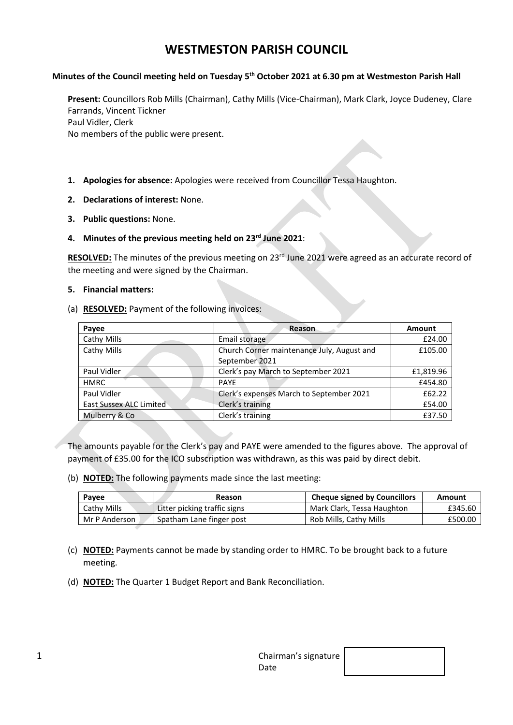# **WESTMESTON PARISH COUNCIL**

#### **Minutes of the Council meeting held on Tuesday 5 th October 2021 at 6.30 pm at Westmeston Parish Hall**

**Present:** Councillors Rob Mills (Chairman), Cathy Mills (Vice-Chairman), Mark Clark, Joyce Dudeney, Clare Farrands, Vincent Tickner Paul Vidler, Clerk No members of the public were present.

- **1. Apologies for absence:** Apologies were received from Councillor Tessa Haughton.
- **2. Declarations of interest:** None.
- **3. Public questions:** None.
- **4. Minutes of the previous meeting held on 23rd June 2021**:

**RESOLVED:** The minutes of the previous meeting on 23 rd June 2021 were agreed as an accurate record of the meeting and were signed by the Chairman.

#### **5. Financial matters:**

(a) **RESOLVED:** Payment of the following invoices:

| Payee                   | Reason                                     | Amount    |
|-------------------------|--------------------------------------------|-----------|
| Cathy Mills             | Email storage                              | £24.00    |
| Cathy Mills             | Church Corner maintenance July, August and | £105.00   |
|                         | September 2021                             |           |
| Paul Vidler             | Clerk's pay March to September 2021        | £1,819.96 |
| <b>HMRC</b>             | <b>PAYE</b>                                | £454.80   |
| Paul Vidler             | Clerk's expenses March to September 2021   | £62.22    |
| East Sussex ALC Limited | Clerk's training                           | £54.00    |
| Mulberry & Co           | Clerk's training                           | £37.50    |

The amounts payable for the Clerk's pay and PAYE were amended to the figures above. The approval of payment of £35.00 for the ICO subscription was withdrawn, as this was paid by direct debit.

(b) **NOTED:** The following payments made since the last meeting:

| Payee         | Reason                       | <b>Cheque signed by Councillors</b> | Amount  |
|---------------|------------------------------|-------------------------------------|---------|
| Cathy Mills   | Litter picking traffic signs | Mark Clark, Tessa Haughton          | £345.60 |
| Mr P Anderson | Spatham Lane finger post     | Rob Mills, Cathy Mills              | £500.00 |

- (c) **NOTED:** Payments cannot be made by standing order to HMRC. To be brought back to a future meeting.
- (d) **NOTED:** The Quarter 1 Budget Report and Bank Reconciliation.

| - | Chairman's signature |  |
|---|----------------------|--|
|   | Date                 |  |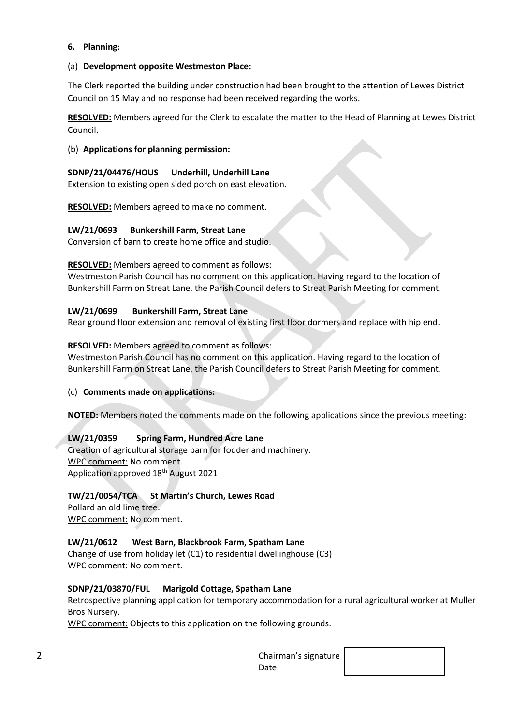#### **6. Planning:**

#### (a) **Development opposite Westmeston Place:**

The Clerk reported the building under construction had been brought to the attention of Lewes District Council on 15 May and no response had been received regarding the works.

**RESOLVED:** Members agreed for the Clerk to escalate the matter to the Head of Planning at Lewes District Council.

#### (b) **Applications for planning permission:**

#### **SDNP/21/04476/HOUS Underhill, Underhill Lane**

Extension to existing open sided porch on east elevation.

**RESOLVED:** Members agreed to make no comment.

#### **LW/21/0693 Bunkershill Farm, Streat Lane**

Conversion of barn to create home office and studio.

#### **RESOLVED:** Members agreed to comment as follows:

Westmeston Parish Council has no comment on this application. Having regard to the location of Bunkershill Farm on Streat Lane, the Parish Council defers to Streat Parish Meeting for comment.

#### **LW/21/0699 Bunkershill Farm, Streat Lane**

Rear ground floor extension and removal of existing first floor dormers and replace with hip end.

#### **RESOLVED:** Members agreed to comment as follows:

Westmeston Parish Council has no comment on this application. Having regard to the location of Bunkershill Farm on Streat Lane, the Parish Council defers to Streat Parish Meeting for comment.

## (c) **Comments made on applications:**

**NOTED:** Members noted the comments made on the following applications since the previous meeting:

## **LW/21/0359 Spring Farm, Hundred Acre Lane**

Creation of agricultural storage barn for fodder and machinery. WPC comment: No comment. Application approved 18<sup>th</sup> August 2021

## **TW/21/0054/TCA St Martin's Church, Lewes Road**

Pollard an old lime tree. WPC comment: No comment.

## **LW/21/0612 West Barn, Blackbrook Farm, Spatham Lane**

Change of use from holiday let (C1) to residential dwellinghouse (C3) WPC comment: No comment.

#### **SDNP/21/03870/FUL Marigold Cottage, Spatham Lane**

Retrospective planning application for temporary accommodation for a rural agricultural worker at Muller Bros Nursery.

WPC comment: Objects to this application on the following grounds.

| ⌒<br>ے | Chairman's signature $\vert$ |  |
|--------|------------------------------|--|
|        | Date                         |  |

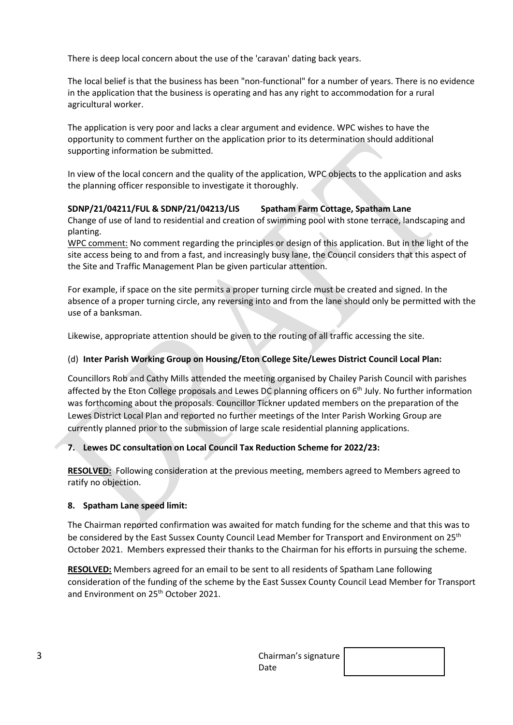There is deep local concern about the use of the 'caravan' dating back years.

The local belief is that the business has been "non-functional" for a number of years. There is no evidence in the application that the business is operating and has any right to accommodation for a rural agricultural worker.

The application is very poor and lacks a clear argument and evidence. WPC wishes to have the opportunity to comment further on the application prior to its determination should additional supporting information be submitted.

In view of the local concern and the quality of the application, WPC objects to the application and asks the planning officer responsible to investigate it thoroughly.

## **SDNP/21/04211/FUL & SDNP/21/04213/LIS Spatham Farm Cottage, Spatham Lane**

Change of use of land to residential and creation of swimming pool with stone terrace, landscaping and planting.

WPC comment: No comment regarding the principles or design of this application. But in the light of the site access being to and from a fast, and increasingly busy lane, the Council considers that this aspect of the Site and Traffic Management Plan be given particular attention.

For example, if space on the site permits a proper turning circle must be created and signed. In the absence of a proper turning circle, any reversing into and from the lane should only be permitted with the use of a banksman.

Likewise, appropriate attention should be given to the routing of all traffic accessing the site.

## (d) **Inter Parish Working Group on Housing/Eton College Site/Lewes District Council Local Plan:**

Councillors Rob and Cathy Mills attended the meeting organised by Chailey Parish Council with parishes affected by the Eton College proposals and Lewes DC planning officers on 6<sup>th</sup> July. No further information was forthcoming about the proposals. Councillor Tickner updated members on the preparation of the Lewes District Local Plan and reported no further meetings of the Inter Parish Working Group are currently planned prior to the submission of large scale residential planning applications.

## **7. Lewes DC consultation on Local Council Tax Reduction Scheme for 2022/23:**

**RESOLVED:** Following consideration at the previous meeting, members agreed to Members agreed to ratify no objection.

## **8. Spatham Lane speed limit:**

The Chairman reported confirmation was awaited for match funding for the scheme and that this was to be considered by the East Sussex County Council Lead Member for Transport and Environment on 25<sup>th</sup> October 2021. Members expressed their thanks to the Chairman for his efforts in pursuing the scheme.

**RESOLVED:** Members agreed for an email to be sent to all residents of Spatham Lane following consideration of the funding of the scheme by the East Sussex County Council Lead Member for Transport and Environment on 25<sup>th</sup> October 2021.

| ∼<br>╯ | Chairman's signature |  |
|--------|----------------------|--|
|        | Date                 |  |